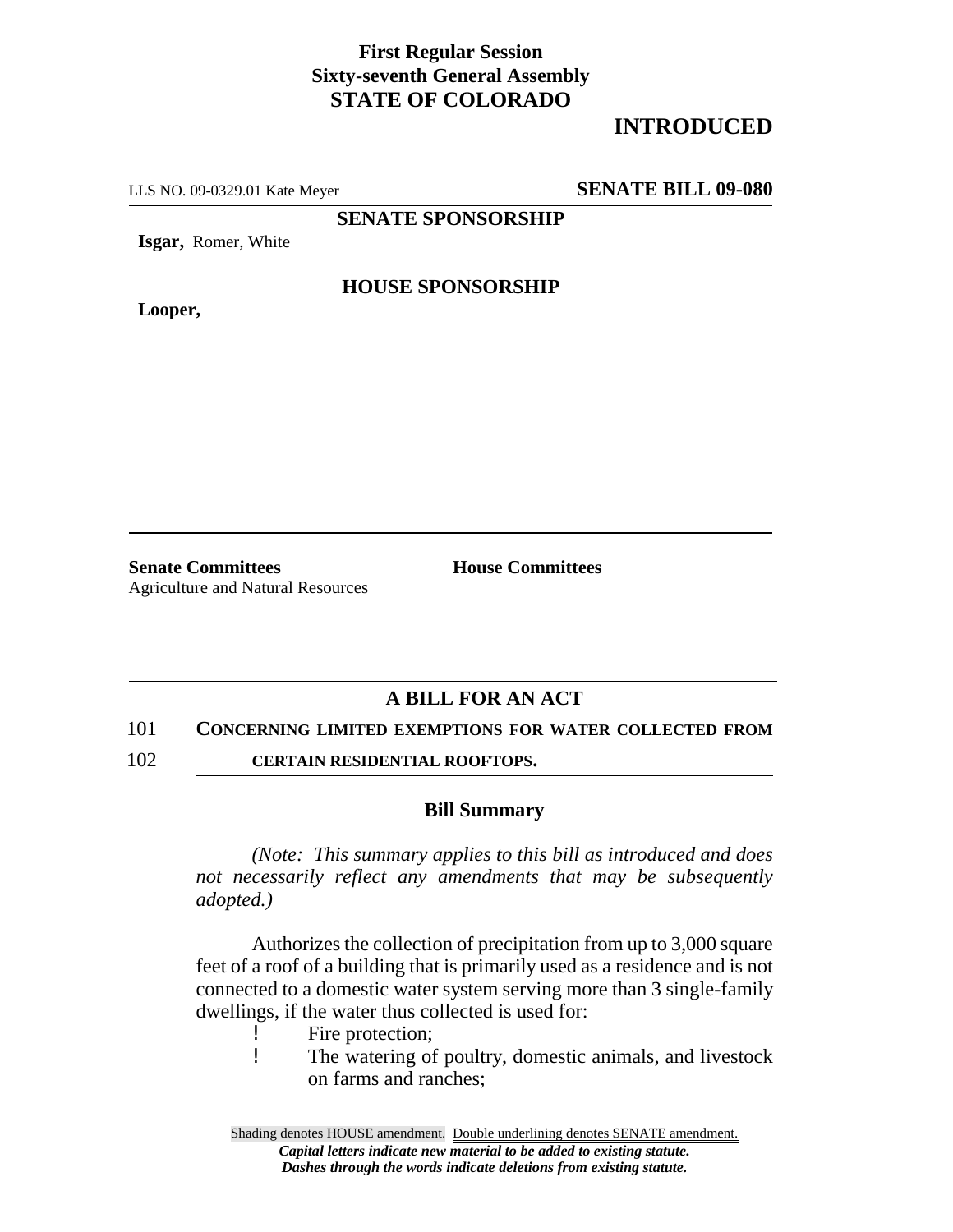## **First Regular Session Sixty-seventh General Assembly STATE OF COLORADO**

# **INTRODUCED**

LLS NO. 09-0329.01 Kate Meyer **SENATE BILL 09-080**

**SENATE SPONSORSHIP**

**Isgar,** Romer, White

**Looper,**

### **HOUSE SPONSORSHIP**

**Senate Committees House Committees** Agriculture and Natural Resources

## **A BILL FOR AN ACT**

#### 101 **CONCERNING LIMITED EXEMPTIONS FOR WATER COLLECTED FROM**

102 **CERTAIN RESIDENTIAL ROOFTOPS.**

#### **Bill Summary**

*(Note: This summary applies to this bill as introduced and does not necessarily reflect any amendments that may be subsequently adopted.)*

Authorizes the collection of precipitation from up to 3,000 square feet of a roof of a building that is primarily used as a residence and is not connected to a domestic water system serving more than 3 single-family dwellings, if the water thus collected is used for:

- ! Fire protection;
- ! The watering of poultry, domestic animals, and livestock on farms and ranches;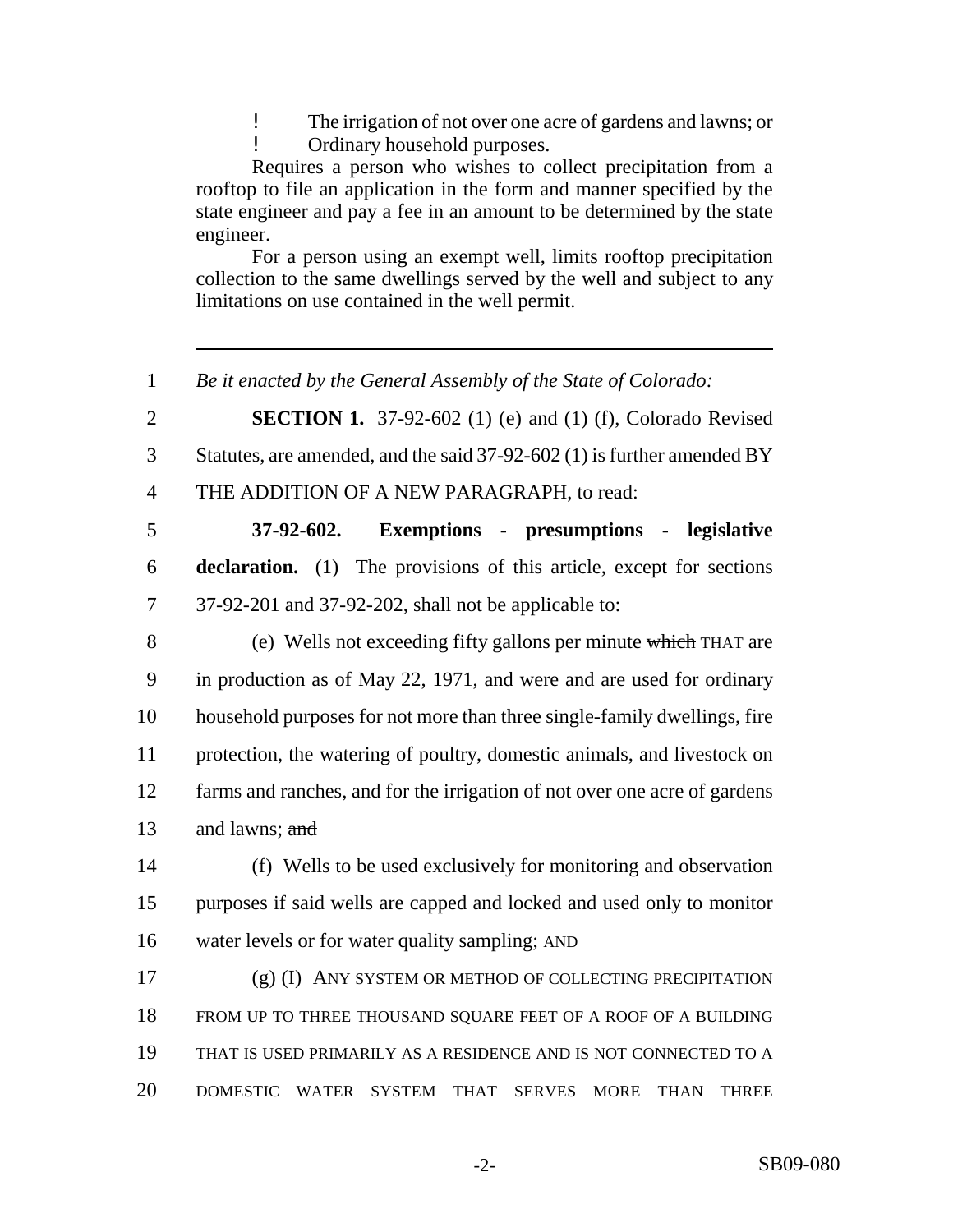! The irrigation of not over one acre of gardens and lawns; or

! Ordinary household purposes.

Requires a person who wishes to collect precipitation from a rooftop to file an application in the form and manner specified by the state engineer and pay a fee in an amount to be determined by the state engineer.

For a person using an exempt well, limits rooftop precipitation collection to the same dwellings served by the well and subject to any limitations on use contained in the well permit.

*Be it enacted by the General Assembly of the State of Colorado:*

 **SECTION 1.** 37-92-602 (1) (e) and (1) (f), Colorado Revised Statutes, are amended, and the said 37-92-602 (1) is further amended BY

THE ADDITION OF A NEW PARAGRAPH, to read:

 **37-92-602. Exemptions - presumptions - legislative declaration.** (1) The provisions of this article, except for sections 37-92-201 and 37-92-202, shall not be applicable to:

 (e) Wells not exceeding fifty gallons per minute which THAT are in production as of May 22, 1971, and were and are used for ordinary household purposes for not more than three single-family dwellings, fire protection, the watering of poultry, domestic animals, and livestock on farms and ranches, and for the irrigation of not over one acre of gardens 13 and lawns;  $\frac{and}{end}$ 

 (f) Wells to be used exclusively for monitoring and observation purposes if said wells are capped and locked and used only to monitor water levels or for water quality sampling; AND

 (g) (I) ANY SYSTEM OR METHOD OF COLLECTING PRECIPITATION FROM UP TO THREE THOUSAND SQUARE FEET OF A ROOF OF A BUILDING THAT IS USED PRIMARILY AS A RESIDENCE AND IS NOT CONNECTED TO A DOMESTIC WATER SYSTEM THAT SERVES MORE THAN THREE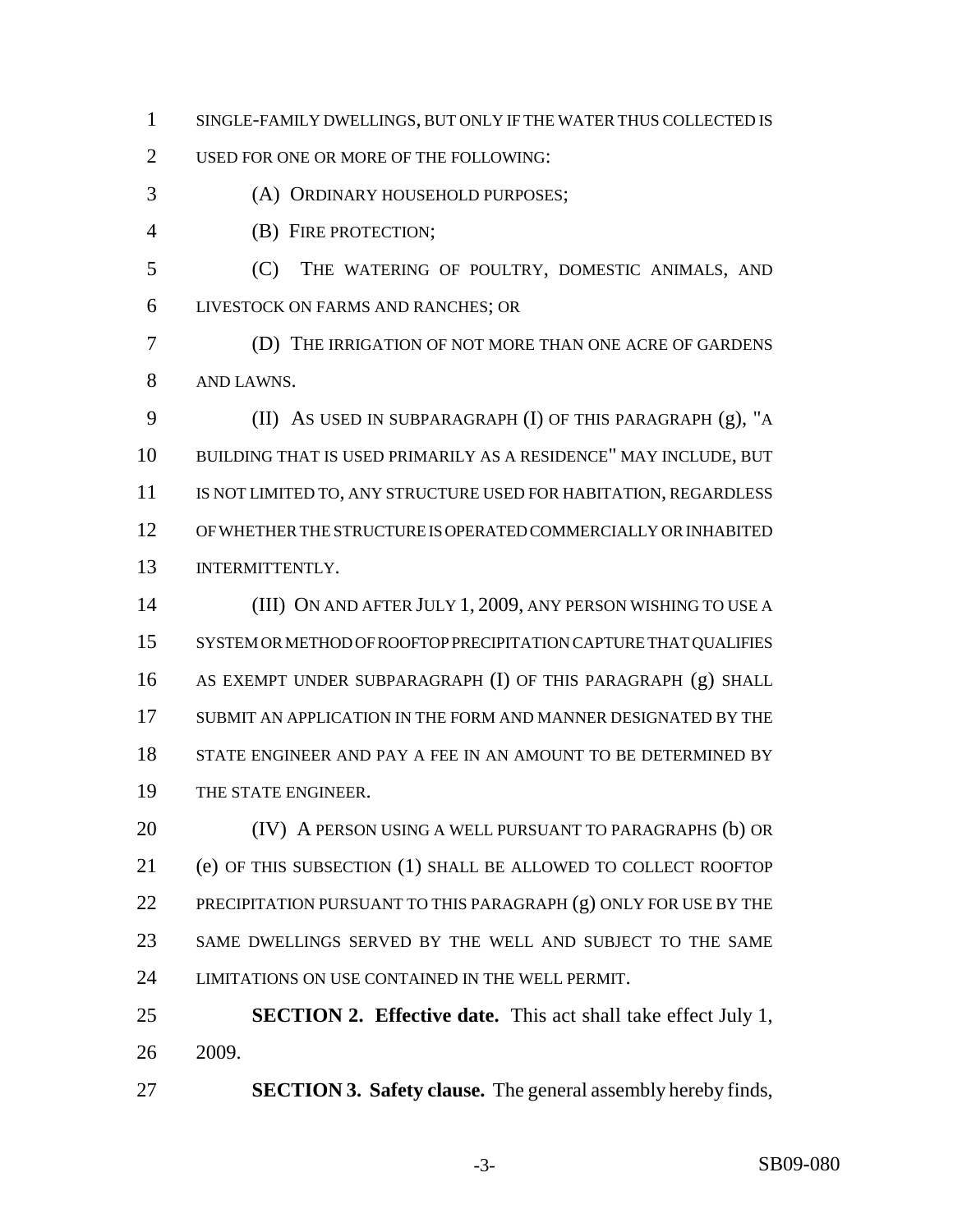- SINGLE-FAMILY DWELLINGS, BUT ONLY IF THE WATER THUS COLLECTED IS
- USED FOR ONE OR MORE OF THE FOLLOWING:
- (A) ORDINARY HOUSEHOLD PURPOSES;
- (B) FIRE PROTECTION;
- (C) THE WATERING OF POULTRY, DOMESTIC ANIMALS, AND LIVESTOCK ON FARMS AND RANCHES; OR
- (D) THE IRRIGATION OF NOT MORE THAN ONE ACRE OF GARDENS AND LAWNS.
- (II) AS USED IN SUBPARAGRAPH (I) OF THIS PARAGRAPH (g), "A BUILDING THAT IS USED PRIMARILY AS A RESIDENCE" MAY INCLUDE, BUT 11 IS NOT LIMITED TO, ANY STRUCTURE USED FOR HABITATION, REGARDLESS OF WHETHER THE STRUCTURE IS OPERATED COMMERCIALLY OR INHABITED INTERMITTENTLY.
- (III) ON AND AFTER JULY 1, 2009, ANY PERSON WISHING TO USE A SYSTEM OR METHOD OF ROOFTOP PRECIPITATION CAPTURE THAT QUALIFIES AS EXEMPT UNDER SUBPARAGRAPH (I) OF THIS PARAGRAPH (g) SHALL SUBMIT AN APPLICATION IN THE FORM AND MANNER DESIGNATED BY THE STATE ENGINEER AND PAY A FEE IN AN AMOUNT TO BE DETERMINED BY THE STATE ENGINEER.
- **(IV)** A PERSON USING A WELL PURSUANT TO PARAGRAPHS (b) OR (e) OF THIS SUBSECTION (1) SHALL BE ALLOWED TO COLLECT ROOFTOP 22 PRECIPITATION PURSUANT TO THIS PARAGRAPH (g) ONLY FOR USE BY THE SAME DWELLINGS SERVED BY THE WELL AND SUBJECT TO THE SAME LIMITATIONS ON USE CONTAINED IN THE WELL PERMIT.
- **SECTION 2. Effective date.** This act shall take effect July 1, 2009.
- **SECTION 3. Safety clause.** The general assembly hereby finds,